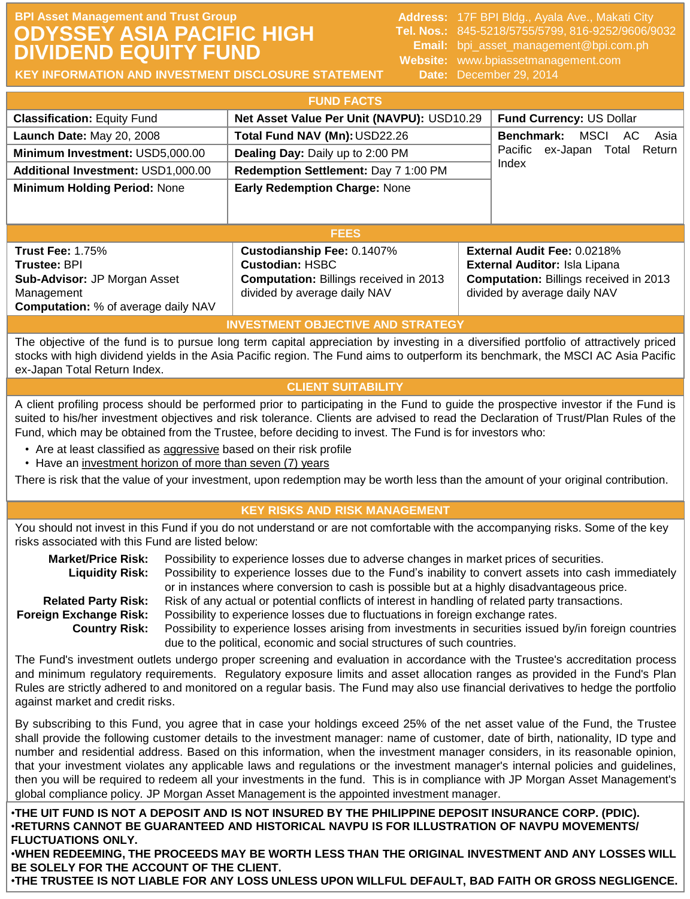# **BPI Asset Management and Trust Group Address: 17F BPI Bldg., Ayala Ave., Makati City Address: 17F BPI Bldg., Ayala Ave., Makati City ODYSSEY ASIA PACIFIC HIGH DIVIDEND EQUITY FUND**

**Tel. Nos.:** 845-5218/5755/5799, 816-9252/9606/9032 **Email:** bpi\_asset\_management@bpi.com.ph **Website:** www.bpiassetmanagement.com **Date:** December 29, 2014 1. Update 1. Update 1. Update 29, 2014

**KEY INFORMATION AND INVESTMENT DISCLOSURE STATEMENT**

|                                            | <b>FUND FACTS</b>                             |                                               |
|--------------------------------------------|-----------------------------------------------|-----------------------------------------------|
| <b>Classification: Equity Fund</b>         | Net Asset Value Per Unit (NAVPU): USD10.29    | Fund Currency: US Dollar                      |
| Launch Date: May 20, 2008                  | Total Fund NAV (Mn): USD22.26                 | Benchmark:<br>AC.<br>MSCI<br>Asia             |
| Minimum Investment: USD5,000.00            | Dealing Day: Daily up to 2:00 PM              | Pacific<br>ex-Japan<br>Return<br>Total        |
| Additional Investment: USD1,000.00         | Redemption Settlement: Day 7 1:00 PM          | Index                                         |
| <b>Minimum Holding Period: None</b>        | <b>Early Redemption Charge: None</b>          |                                               |
|                                            |                                               |                                               |
|                                            | <b>FEES</b>                                   |                                               |
| <b>Trust Fee: 1.75%</b>                    | Custodianship Fee: 0.1407%                    | External Audit Fee: 0.0218%                   |
| <b>Trustee: BPI</b>                        | <b>Custodian: HSBC</b>                        | External Auditor: Isla Lipana                 |
| Sub-Advisor: JP Morgan Asset               | <b>Computation: Billings received in 2013</b> | <b>Computation: Billings received in 2013</b> |
| Management                                 | divided by average daily NAV                  | divided by average daily NAV                  |
| <b>Computation:</b> % of average daily NAV |                                               |                                               |
|                                            | <b>INVESTMENT OBJECTIVE AND STRATEGY</b>      |                                               |

The objective of the fund is to pursue long term capital appreciation by investing in a diversified portfolio of attractively priced stocks with high dividend yields in the Asia Pacific region. The Fund aims to outperform its benchmark, the MSCI AC Asia Pacific ex-Japan Total Return Index.

# **CLIENT SUITABILITY**

A client profiling process should be performed prior to participating in the Fund to guide the prospective investor if the Fund is suited to his/her investment objectives and risk tolerance. Clients are advised to read the Declaration of Trust/Plan Rules of the Fund, which may be obtained from the Trustee, before deciding to invest. The Fund is for investors who:

- Are at least classified as aggressive based on their risk profile
- Have an investment horizon of more than seven (7) years

There is risk that the value of your investment, upon redemption may be worth less than the amount of your original contribution.

# **KEY RISKS AND RISK MANAGEMENT**

You should not invest in this Fund if you do not understand or are not comfortable with the accompanying risks. Some of the key risks associated with this Fund are listed below:

| <b>Market/Price Risk:</b>  | Possibility to experience losses due to adverse changes in market prices of securities.                |
|----------------------------|--------------------------------------------------------------------------------------------------------|
| <b>Liquidity Risk:</b>     | Possibility to experience losses due to the Fund's inability to convert assets into cash immediately   |
|                            | or in instances where conversion to cash is possible but at a highly disadvantageous price.            |
| <b>Related Party Risk:</b> | Risk of any actual or potential conflicts of interest in handling of related party transactions.       |
| Foreign Exchange Risk:     | Possibility to experience losses due to fluctuations in foreign exchange rates.                        |
| <b>Country Risk:</b>       | Possibility to experience losses arising from investments in securities issued by/in foreign countries |
|                            | due to the political, economic and social structures of such countries.                                |

The Fund's investment outlets undergo proper screening and evaluation in accordance with the Trustee's accreditation process and minimum regulatory requirements. Regulatory exposure limits and asset allocation ranges as provided in the Fund's Plan Rules are strictly adhered to and monitored on a regular basis. The Fund may also use financial derivatives to hedge the portfolio against market and credit risks.

By subscribing to this Fund, you agree that in case your holdings exceed 25% of the net asset value of the Fund, the Trustee shall provide the following customer details to the investment manager: name of customer, date of birth, nationality, ID type and number and residential address. Based on this information, when the investment manager considers, in its reasonable opinion, that your investment violates any applicable laws and regulations or the investment manager's internal policies and guidelines, then you will be required to redeem all your investments in the fund. This is in compliance with JP Morgan Asset Management's global compliance policy. JP Morgan Asset Management is the appointed investment manager.

•**THE UIT FUND IS NOT A DEPOSIT AND IS NOT INSURED BY THE PHILIPPINE DEPOSIT INSURANCE CORP. (PDIC).** •**RETURNS CANNOT BE GUARANTEED AND HISTORICAL NAVPU IS FOR ILLUSTRATION OF NAVPU MOVEMENTS/ FLUCTUATIONS ONLY.**

•**WHEN REDEEMING, THE PROCEEDS MAY BE WORTH LESS THAN THE ORIGINAL INVESTMENT AND ANY LOSSES WILL BE SOLELY FOR THE ACCOUNT OF THE CLIENT.**

•**THE TRUSTEE IS NOT LIABLE FOR ANY LOSS UNLESS UPON WILLFUL DEFAULT, BAD FAITH OR GROSS NEGLIGENCE.**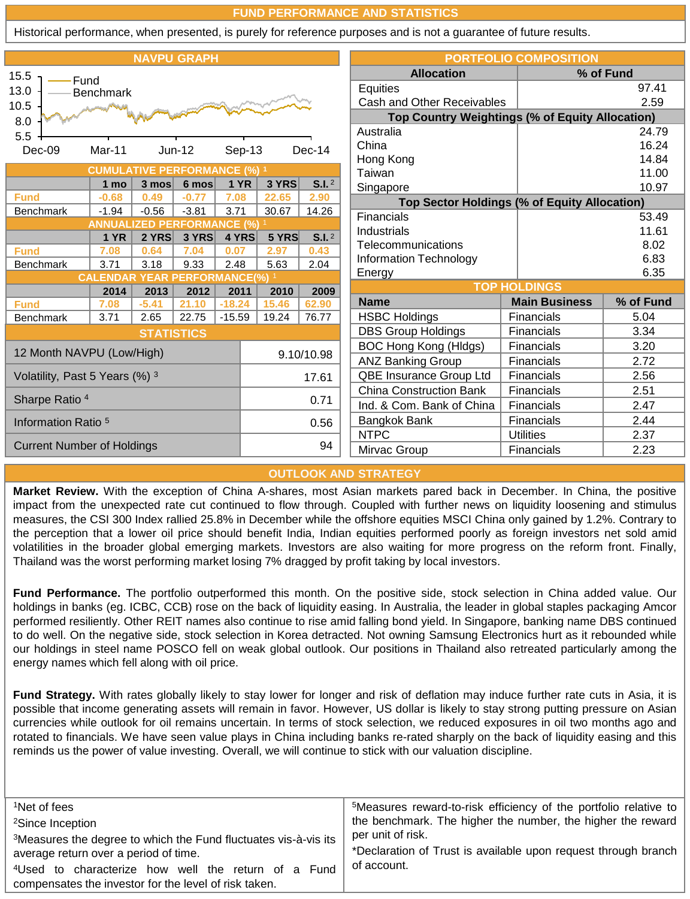#### **FUND PERFORMANCE AND STATISTICS**

Historical performance, when presented, is purely for reference purposes and is not a guarantee of future results.

|                                   |                                              |                   | <b>NAVPU GRAPH</b>  |             |       |                   |                                                        | <b>PORTFOLIO COMPOSITION</b> |           |
|-----------------------------------|----------------------------------------------|-------------------|---------------------|-------------|-------|-------------------|--------------------------------------------------------|------------------------------|-----------|
| 15.5<br>Fund                      |                                              |                   |                     |             |       |                   | <b>Allocation</b>                                      |                              | % of Fund |
| 13.0                              | <b>Benchmark</b>                             |                   |                     |             |       |                   | Equities                                               |                              | 97.41     |
| 10.5                              |                                              |                   |                     |             |       |                   | Cash and Other Receivables                             |                              | 2.59      |
| 8.0                               |                                              |                   |                     |             |       |                   | <b>Top Country Weightings (% of Equity Allocation)</b> |                              |           |
| 5.5                               |                                              |                   |                     |             |       |                   | Australia                                              |                              | 24.79     |
| Dec-09                            | Mar-11                                       |                   | $Jun-12$            | Sep-13      |       | Dec-14            | China                                                  |                              | 16.24     |
|                                   |                                              |                   |                     |             |       |                   | Hong Kong                                              |                              | 14.84     |
|                                   | <b>CUMULATIVE PERFORMANCE (%) 1</b>          |                   |                     |             |       |                   | Taiwan                                                 |                              | 11.00     |
|                                   | 1 mo                                         | 3 mos             | $6 \text{ mos}$     | <b>1 YR</b> | 3 YRS | S.I. <sup>2</sup> | Singapore                                              |                              | 10.97     |
| <b>Fund</b>                       | $-0.68$                                      | 0.49              | $-0.77$             | 7.08        | 22.65 | 2.90              | Top Sector Holdings (% of Equity Allocation)           |                              |           |
| <b>Benchmark</b>                  | $-1.94$<br><b>ANNUALIZED PERFORMANCE (%)</b> | $-0.56$           | $-3.81$             | 3.71        | 30.67 | 14.26             | Financials                                             |                              | 53.49     |
|                                   | <b>1 YR</b>                                  | 2 YRS             | 3 YRS               | 4 YRS       | 5 YRS | S.I. <sup>2</sup> | Industrials                                            |                              | 11.61     |
| <b>Fund</b>                       | 7.08                                         | 0.64              | 7.04                | 0.07        | 2.97  | 0.43              | <b>Telecommunications</b>                              |                              | 8.02      |
| <b>Benchmark</b>                  | 3.71                                         | 3.18              | 9.33                | 2.48        | 5.63  | 2.04              | Information Technology                                 |                              | 6.83      |
|                                   | <b>CALENDAR</b>                              |                   | <b>YEAR PERFORI</b> | MANCE(%)    |       |                   | Energy                                                 |                              | 6.35      |
|                                   | 2014                                         | 2013              | 2012                | 2011        | 2010  | 2009              |                                                        | <b>TOP HOLDINGS</b>          |           |
| <b>Fund</b>                       | 7.08                                         | $-5.41$           | 21.10               | $-18.24$    | 15.46 | 62.90             | <b>Name</b>                                            | <b>Main Business</b>         | % of Fund |
| <b>Benchmark</b>                  | 3.71                                         | 2.65              | 22.75               | $-15.59$    | 19.24 | 76.77             | <b>HSBC Holdings</b>                                   | Financials                   | 5.04      |
|                                   |                                              | <b>STATISTICS</b> |                     |             |       |                   | <b>DBS Group Holdings</b>                              | Financials                   | 3.34      |
| 12 Month NAVPU (Low/High)         |                                              |                   |                     |             |       |                   | BOC Hong Kong (HIdgs)                                  | Financials                   | 3.20      |
|                                   |                                              |                   |                     |             |       | 9.10/10.98        | <b>ANZ Banking Group</b>                               | Financials                   | 2.72      |
| Volatility, Past 5 Years (%) 3    |                                              |                   |                     |             |       | 17.61             | QBE Insurance Group Ltd                                | Financials                   | 2.56      |
| Sharpe Ratio <sup>4</sup>         |                                              |                   |                     |             |       | 0.71              | China Construction Bank                                | Financials                   | 2.51      |
|                                   |                                              |                   |                     |             |       |                   | Ind. & Com. Bank of China                              | Financials                   | 2.47      |
| Information Ratio <sup>5</sup>    |                                              |                   |                     |             |       | 0.56              | Bangkok Bank                                           | Financials                   | 2.44      |
|                                   |                                              |                   |                     |             |       | 94                | <b>NTPC</b>                                            | <b>Utilities</b>             | 2.37      |
| <b>Current Number of Holdings</b> |                                              |                   |                     |             |       |                   | Mirvac Group                                           | Financials                   | 2.23      |

#### **OUTLOOK AND STRATEGY**

**Market Review.** With the exception of China A-shares, most Asian markets pared back in December. In China, the positive impact from the unexpected rate cut continued to flow through. Coupled with further news on liquidity loosening and stimulus measures, the CSI 300 Index rallied 25.8% in December while the offshore equities MSCI China only gained by 1.2%. Contrary to the perception that a lower oil price should benefit India, Indian equities performed poorly as foreign investors net sold amid volatilities in the broader global emerging markets. Investors are also waiting for more progress on the reform front. Finally, Thailand was the worst performing market losing 7% dragged by profit taking by local investors.

**Fund Performance.** The portfolio outperformed this month. On the positive side, stock selection in China added value. Our holdings in banks (eg. ICBC, CCB) rose on the back of liquidity easing. In Australia, the leader in global staples packaging Amcor performed resiliently. Other REIT names also continue to rise amid falling bond yield. In Singapore, banking name DBS continued to do well. On the negative side, stock selection in Korea detracted. Not owning Samsung Electronics hurt as it rebounded while our holdings in steel name POSCO fell on weak global outlook. Our positions in Thailand also retreated particularly among the energy names which fell along with oil price.

**Fund Strategy.** With rates globally likely to stay lower for longer and risk of deflation may induce further rate cuts in Asia, it is possible that income generating assets will remain in favor. However, US dollar is likely to stay strong putting pressure on Asian currencies while outlook for oil remains uncertain. In terms of stock selection, we reduced exposures in oil two months ago and rotated to financials. We have seen value plays in China including banks re-rated sharply on the back of liquidity easing and this reminds us the power of value investing. Overall, we will continue to stick with our valuation discipline.

| <sup>1</sup> Net of fees                                                    | <sup>5</sup> Measures reward-to-risk efficiency of the portfolio relative to |
|-----------------------------------------------------------------------------|------------------------------------------------------------------------------|
| <sup>2</sup> Since Inception                                                | the benchmark. The higher the number, the higher the reward                  |
| <sup>3</sup> Measures the degree to which the Fund fluctuates vis-à-vis its | per unit of risk.                                                            |
| average return over a period of time.                                       | *Declaration of Trust is available upon request through branch               |
| <sup>4</sup> Used to characterize how well the return of a Fund             | of account.                                                                  |
| compensates the investor for the level of risk taken.                       |                                                                              |